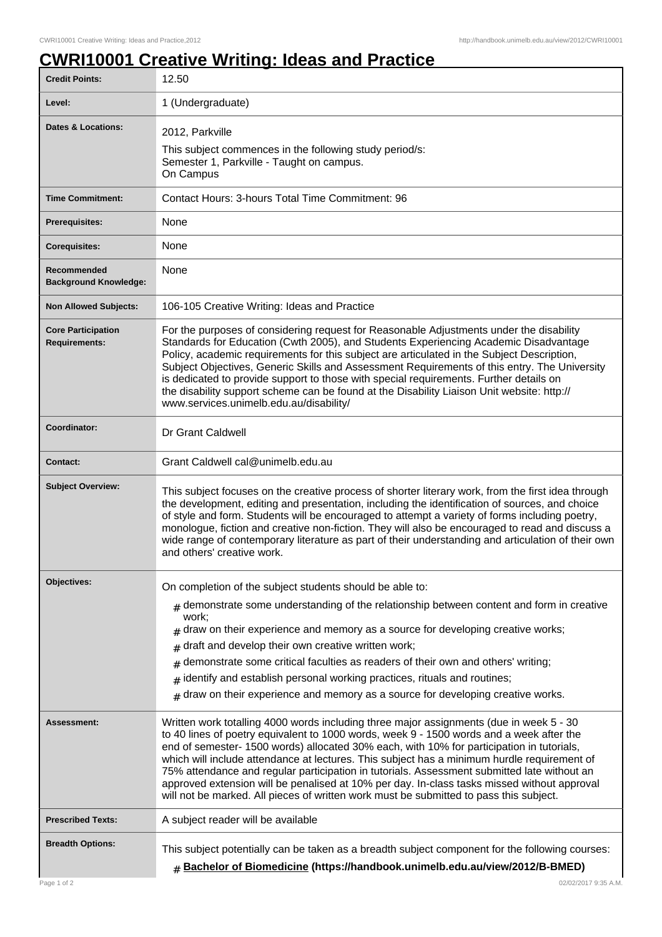## **CWRI10001 Creative Writing: Ideas and Practice**

| <b>Credit Points:</b>                             | 12.50                                                                                                                                                                                                                                                                                                                                                                                                                                                                                                                                                                                                                                                                   |
|---------------------------------------------------|-------------------------------------------------------------------------------------------------------------------------------------------------------------------------------------------------------------------------------------------------------------------------------------------------------------------------------------------------------------------------------------------------------------------------------------------------------------------------------------------------------------------------------------------------------------------------------------------------------------------------------------------------------------------------|
| Level:                                            | 1 (Undergraduate)                                                                                                                                                                                                                                                                                                                                                                                                                                                                                                                                                                                                                                                       |
| Dates & Locations:                                | 2012, Parkville<br>This subject commences in the following study period/s:<br>Semester 1, Parkville - Taught on campus.<br>On Campus                                                                                                                                                                                                                                                                                                                                                                                                                                                                                                                                    |
| <b>Time Commitment:</b>                           | Contact Hours: 3-hours Total Time Commitment: 96                                                                                                                                                                                                                                                                                                                                                                                                                                                                                                                                                                                                                        |
| <b>Prerequisites:</b>                             | None                                                                                                                                                                                                                                                                                                                                                                                                                                                                                                                                                                                                                                                                    |
| <b>Corequisites:</b>                              | None                                                                                                                                                                                                                                                                                                                                                                                                                                                                                                                                                                                                                                                                    |
| Recommended<br><b>Background Knowledge:</b>       | None                                                                                                                                                                                                                                                                                                                                                                                                                                                                                                                                                                                                                                                                    |
| <b>Non Allowed Subjects:</b>                      | 106-105 Creative Writing: Ideas and Practice                                                                                                                                                                                                                                                                                                                                                                                                                                                                                                                                                                                                                            |
| <b>Core Participation</b><br><b>Requirements:</b> | For the purposes of considering request for Reasonable Adjustments under the disability<br>Standards for Education (Cwth 2005), and Students Experiencing Academic Disadvantage<br>Policy, academic requirements for this subject are articulated in the Subject Description,<br>Subject Objectives, Generic Skills and Assessment Requirements of this entry. The University<br>is dedicated to provide support to those with special requirements. Further details on<br>the disability support scheme can be found at the Disability Liaison Unit website: http://<br>www.services.unimelb.edu.au/disability/                                                        |
| Coordinator:                                      | Dr Grant Caldwell                                                                                                                                                                                                                                                                                                                                                                                                                                                                                                                                                                                                                                                       |
| <b>Contact:</b>                                   | Grant Caldwell cal@unimelb.edu.au                                                                                                                                                                                                                                                                                                                                                                                                                                                                                                                                                                                                                                       |
| <b>Subject Overview:</b>                          | This subject focuses on the creative process of shorter literary work, from the first idea through<br>the development, editing and presentation, including the identification of sources, and choice<br>of style and form. Students will be encouraged to attempt a variety of forms including poetry,<br>monologue, fiction and creative non-fiction. They will also be encouraged to read and discuss a<br>wide range of contemporary literature as part of their understanding and articulation of their own<br>and others' creative work.                                                                                                                           |
| Objectives:                                       | On completion of the subject students should be able to:                                                                                                                                                                                                                                                                                                                                                                                                                                                                                                                                                                                                                |
|                                                   | $#$ demonstrate some understanding of the relationship between content and form in creative<br>work;<br>draw on their experience and memory as a source for developing creative works;<br>draft and develop their own creative written work;<br>#<br>demonstrate some critical faculties as readers of their own and others' writing;<br>#<br>identify and establish personal working practices, rituals and routines;<br>#<br>draw on their experience and memory as a source for developing creative works.<br>#                                                                                                                                                      |
| Assessment:                                       | Written work totalling 4000 words including three major assignments (due in week 5 - 30<br>to 40 lines of poetry equivalent to 1000 words, week 9 - 1500 words and a week after the<br>end of semester- 1500 words) allocated 30% each, with 10% for participation in tutorials,<br>which will include attendance at lectures. This subject has a minimum hurdle requirement of<br>75% attendance and regular participation in tutorials. Assessment submitted late without an<br>approved extension will be penalised at 10% per day. In-class tasks missed without approval<br>will not be marked. All pieces of written work must be submitted to pass this subject. |
| <b>Prescribed Texts:</b>                          | A subject reader will be available                                                                                                                                                                                                                                                                                                                                                                                                                                                                                                                                                                                                                                      |
| <b>Breadth Options:</b>                           | This subject potentially can be taken as a breadth subject component for the following courses:<br># Bachelor of Biomedicine (https://handbook.unimelb.edu.au/view/2012/B-BMED)                                                                                                                                                                                                                                                                                                                                                                                                                                                                                         |
| Page 1 of 2                                       | 02/02/2017 9:35 A.M.                                                                                                                                                                                                                                                                                                                                                                                                                                                                                                                                                                                                                                                    |